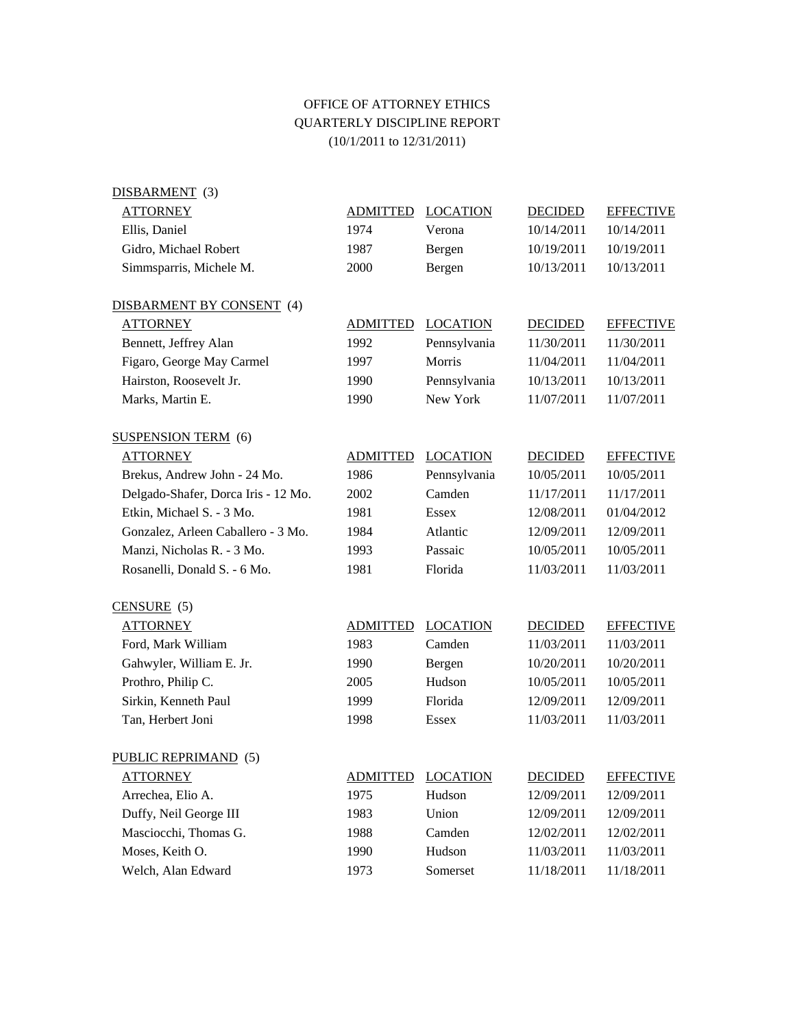## OFFICE OF ATTORNEY ETHICS QUARTERLY DISCIPLINE REPORT (10/1/2011 to 12/31/2011)

| DISBARMENT (3)                      |                 |                 |                |                  |
|-------------------------------------|-----------------|-----------------|----------------|------------------|
| <b>ATTORNEY</b>                     | <b>ADMITTED</b> | <b>LOCATION</b> | <b>DECIDED</b> | <b>EFFECTIVE</b> |
| Ellis, Daniel                       | 1974            | Verona          | 10/14/2011     | 10/14/2011       |
| Gidro, Michael Robert               | 1987            | Bergen          | 10/19/2011     | 10/19/2011       |
| Simmsparris, Michele M.             | 2000            | Bergen          | 10/13/2011     | 10/13/2011       |
|                                     |                 |                 |                |                  |
| DISBARMENT BY CONSENT (4)           |                 |                 |                |                  |
| <b>ATTORNEY</b>                     | <b>ADMITTED</b> | <b>LOCATION</b> | <b>DECIDED</b> | <b>EFFECTIVE</b> |
| Bennett, Jeffrey Alan               | 1992            | Pennsylvania    | 11/30/2011     | 11/30/2011       |
| Figaro, George May Carmel           | 1997            | Morris          | 11/04/2011     | 11/04/2011       |
| Hairston, Roosevelt Jr.             | 1990            | Pennsylvania    | 10/13/2011     | 10/13/2011       |
| Marks, Martin E.                    | 1990            | New York        | 11/07/2011     | 11/07/2011       |
|                                     |                 |                 |                |                  |
| <b>SUSPENSION TERM</b> (6)          |                 |                 |                |                  |
| <b>ATTORNEY</b>                     | <b>ADMITTED</b> | <b>LOCATION</b> | <b>DECIDED</b> | <b>EFFECTIVE</b> |
| Brekus, Andrew John - 24 Mo.        | 1986            | Pennsylvania    | 10/05/2011     | 10/05/2011       |
| Delgado-Shafer, Dorca Iris - 12 Mo. | 2002            | Camden          | 11/17/2011     | 11/17/2011       |
| Etkin, Michael S. - 3 Mo.           | 1981            | <b>Essex</b>    | 12/08/2011     | 01/04/2012       |
| Gonzalez, Arleen Caballero - 3 Mo.  | 1984            | Atlantic        | 12/09/2011     | 12/09/2011       |
| Manzi, Nicholas R. - 3 Mo.          | 1993            | Passaic         | 10/05/2011     | 10/05/2011       |
| Rosanelli, Donald S. - 6 Mo.        | 1981            | Florida         | 11/03/2011     | 11/03/2011       |
|                                     |                 |                 |                |                  |
| $CENSURE$ (5)                       |                 |                 |                |                  |
| <b>ATTORNEY</b>                     | <b>ADMITTED</b> | <b>LOCATION</b> | <b>DECIDED</b> | <b>EFFECTIVE</b> |
| Ford, Mark William                  | 1983            | Camden          | 11/03/2011     | 11/03/2011       |
| Gahwyler, William E. Jr.            | 1990            | Bergen          | 10/20/2011     | 10/20/2011       |
| Prothro, Philip C.                  | 2005            | Hudson          | 10/05/2011     | 10/05/2011       |
| Sirkin, Kenneth Paul                | 1999            | Florida         | 12/09/2011     | 12/09/2011       |
| Tan, Herbert Joni                   | 1998            | <b>Essex</b>    | 11/03/2011     | 11/03/2011       |
| PUBLIC REPRIMAND (5)                |                 |                 |                |                  |
| <b>ATTORNEY</b>                     | <b>ADMITTED</b> | <b>LOCATION</b> | <b>DECIDED</b> | <b>EFFECTIVE</b> |
| Arrechea, Elio A.                   | 1975            | Hudson          | 12/09/2011     | 12/09/2011       |
| Duffy, Neil George III              | 1983            | Union           | 12/09/2011     | 12/09/2011       |
| Masciocchi, Thomas G.               | 1988            | Camden          | 12/02/2011     | 12/02/2011       |
| Moses, Keith O.                     | 1990            | Hudson          | 11/03/2011     | 11/03/2011       |
| Welch, Alan Edward                  | 1973            | Somerset        | 11/18/2011     | 11/18/2011       |
|                                     |                 |                 |                |                  |